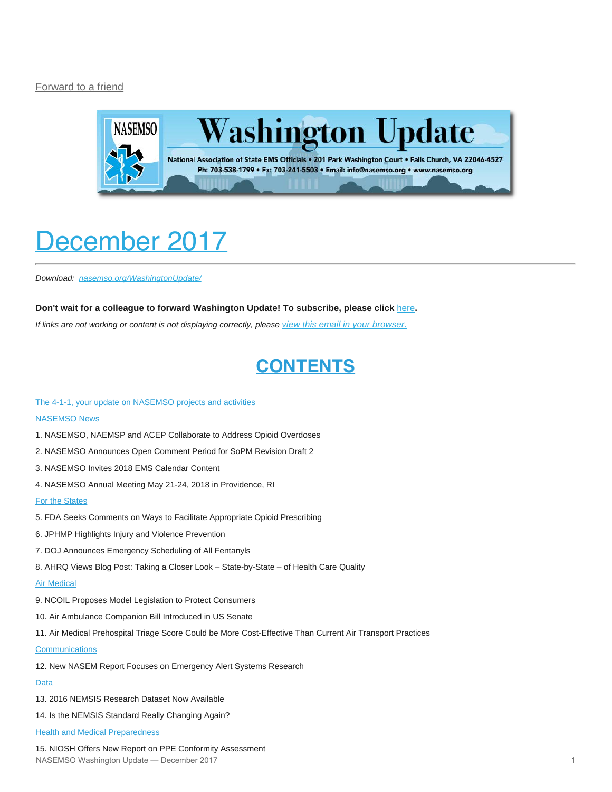#### [Forward to a friend](http://us13.forward-to-friend.com/forward?u=bdaf9a0cf267d423437d7b149&id=248dcd77c0&e=[UNIQID])



# <span id="page-0-0"></span>December 2017

*Download: [nasemso.org/WashingtonUpdate/](http://www.nasemso.org/WashingtonUpdate/)*

#### **Don't wait for a colleague to forward Washington Update! To subscribe, please click** [here](http://eepurl.com/cb1_dP)**.**

*If links are not working or content is not displaying correctly, please [view this email in your browser.](http://mailchi.mp/0551b3f31eeb/december-2017?e=[UNIQID])*

## **CONTENTS**

#### [The 4-1-1, your update on NASEMSO projects and activities](#page-1-0)

#### **[NASEMSO News](#page-2-0)**

- 1. NASEMSO, NAEMSP and ACEP Collaborate to Address Opioid Overdoses
- 2. NASEMSO Announces Open Comment Period for SoPM Revision Draft 2
- 3. NASEMSO Invites 2018 EMS Calendar Content
- 4. NASEMSO Annual Meeting May 21-24, 2018 in Providence, RI

#### [For the States](#page-3-0)

- 5. FDA Seeks Comments on Ways to Facilitate Appropriate Opioid Prescribing
- 6. JPHMP Highlights Injury and Violence Prevention
- 7. DOJ Announces Emergency Scheduling of All Fentanyls
- 8. AHRQ Views Blog Post: Taking a Closer Look State-by-State of Health Care Quality

#### [Air Medical](#page-5-0)

- 9. NCOIL Proposes Model Legislation to Protect Consumers
- 10. Air Ambulance Companion Bill Introduced in US Senate
- 11. Air Medical Prehospital Triage Score Could be More Cost-Effective Than Current Air Transport Practices

#### **[Communications](#page-5-1)**

12. New NASEM Report Focuses on Emergency Alert Systems Research

#### [Data](#page-6-0)

- 13. 2016 NEMSIS Research Dataset Now Available
- 14. Is the NEMSIS Standard Really Changing Again?
- **[Health and Medical Preparedness](#page-6-1)**

15. NIOSH Offers New Report on PPE Conformity Assessment NASEMSO Washington Update — December 2017 1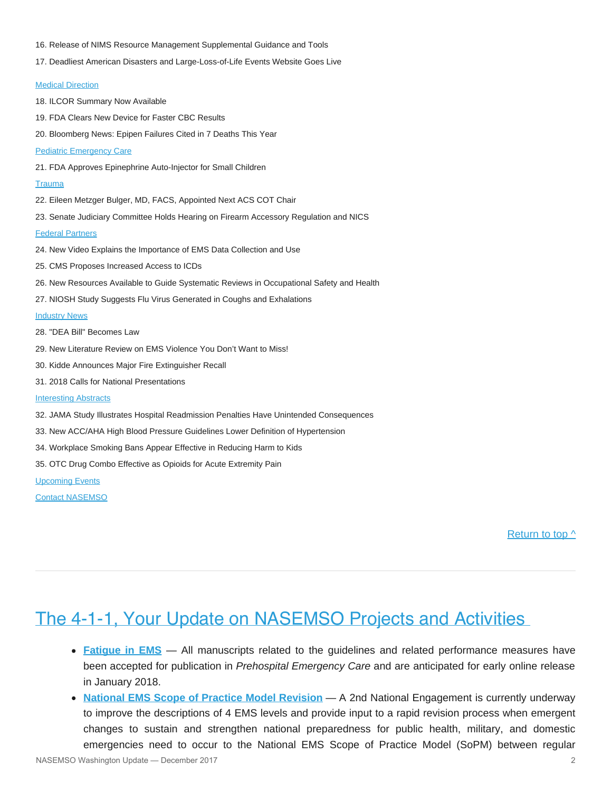- 16. Release of NIMS Resource Management Supplemental Guidance and Tools
- 17. Deadliest American Disasters and Large-Loss-of-Life Events Website Goes Live

#### **[Medical Direction](#page-8-0)**

18. ILCOR Summary Now Available 19. FDA Clears New Device for Faster CBC Results 20. Bloomberg News: Epipen Failures Cited in 7 Deaths This Year [Pediatric Emergency Care](#page-9-0) 21. FDA Approves Epinephrine Auto-Injector for Small Children **[Trauma](#page-9-1)** 22. Eileen Metzger Bulger, MD, FACS, Appointed Next ACS COT Chair 23. Senate Judiciary Committee Holds Hearing on Firearm Accessory Regulation and NICS [Federal Partners](#page-10-0) 24. New Video Explains the Importance of EMS Data Collection and Use 25. CMS Proposes Increased Access to ICDs 26. New Resources Available to Guide Systematic Reviews in Occupational Safety and Health 27. NIOSH Study Suggests Flu Virus Generated in Coughs and Exhalations **[Industry News](#page-12-0)** 28. "DEA Bill" Becomes Law 29. New Literature Review on EMS Violence You Don't Want to Miss! 30. Kidde Announces Major Fire Extinguisher Recall 31. 2018 Calls for National Presentations [Interesting Abstracts](#page-13-0) 32. JAMA Study Illustrates Hospital Readmission Penalties Have Unintended Consequences 33. New ACC/AHA High Blood Pressure Guidelines Lower Definition of Hypertension 34. Workplace Smoking Bans Appear Effective in Reducing Harm to Kids 35. OTC Drug Combo Effective as Opioids for Acute Extremity Pain [Upcoming Events](#page-15-0)

[Contact NASEMSO](#page-18-0)

[Return to top ^](#page-0-0)

## <span id="page-1-0"></span>The 4-1-1, Your Update on NASEMSO Projects and Activities

- **[Fatigue in EMS](http://www.emsfatigue.org/)** All manuscripts related to the guidelines and related performance measures have been accepted for publication in *Prehospital Emergency Care* and are anticipated for early online release in January 2018.
- **[National EMS Scope of Practice Model Revision](http://nasemso.org/Projects/EMSScopeOfPractice/)** A 2nd National Engagement is currently underway to improve the descriptions of 4 EMS levels and provide input to a rapid revision process when emergent changes to sustain and strengthen national preparedness for public health, military, and domestic emergencies need to occur to the National EMS Scope of Practice Model (SoPM) between regular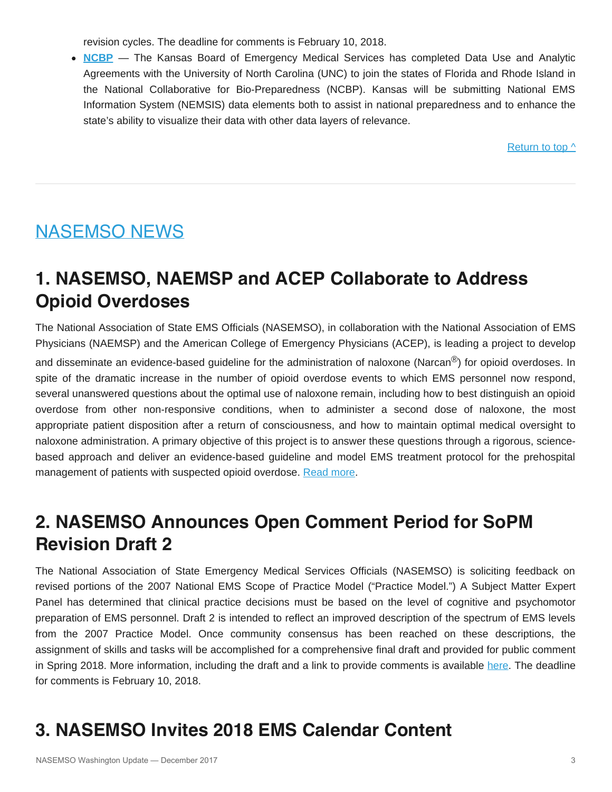revision cycles. The deadline for comments is February 10, 2018.

**[NCBP](http://directory.ncbiotech.org/content/national-collaborative-bio-preparedness)** — The Kansas Board of Emergency Medical Services has completed Data Use and Analytic Agreements with the University of North Carolina (UNC) to join the states of Florida and Rhode Island in the National Collaborative for Bio-Preparedness (NCBP). Kansas will be submitting National EMS Information System (NEMSIS) data elements both to assist in national preparedness and to enhance the state's ability to visualize their data with other data layers of relevance.

[Return to top ^](#page-0-0)

# <span id="page-2-0"></span>NASEMSO NEWS

## **1. NASEMSO, NAEMSP and ACEP Collaborate to Address Opioid Overdoses**

The National Association of State EMS Officials (NASEMSO), in collaboration with the National Association of EMS Physicians (NAEMSP) and the American College of Emergency Physicians (ACEP), is leading a project to develop and disseminate an evidence-based guideline for the administration of naloxone (Narcan<sup>®</sup>) for opioid overdoses. In spite of the dramatic increase in the number of opioid overdose events to which EMS personnel now respond, several unanswered questions about the optimal use of naloxone remain, including how to best distinguish an opioid overdose from other non-responsive conditions, when to administer a second dose of naloxone, the most appropriate patient disposition after a return of consciousness, and how to maintain optimal medical oversight to naloxone administration. A primary objective of this project is to answer these questions through a rigorous, sciencebased approach and deliver an evidence-based guideline and model EMS treatment protocol for the prehospital management of patients with suspected opioid overdose. [Read more](https://www.nasemso.org/Projects/Naloxone/).

## **2. NASEMSO Announces Open Comment Period for SoPM Revision Draft 2**

The National Association of State Emergency Medical Services Officials (NASEMSO) is soliciting feedback on revised portions of the 2007 National EMS Scope of Practice Model ("Practice Model.") A Subject Matter Expert Panel has determined that clinical practice decisions must be based on the level of cognitive and psychomotor preparation of EMS personnel. Draft 2 is intended to reflect an improved description of the spectrum of EMS levels from the 2007 Practice Model. Once community consensus has been reached on these descriptions, the assignment of skills and tasks will be accomplished for a comprehensive final draft and provided for public comment in Spring 2018. More information, including the draft and a link to provide comments is available [here.](http://www.emsscopeofpractice.org/) The deadline for comments is February 10, 2018.

# **3. NASEMSO Invites 2018 EMS Calendar Content**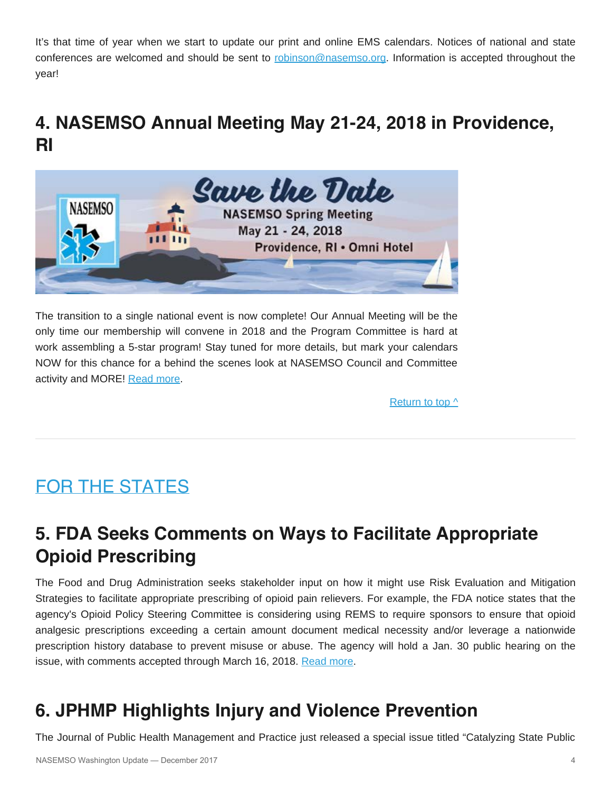It's that time of year when we start to update our print and online EMS calendars. Notices of national and state conferences are welcomed and should be sent to [robinson@nasemso.org](mailto:robinson@nasemso.org). Information is accepted throughout the year!

## **4. NASEMSO Annual Meeting May 21-24, 2018 in Providence, RI**



The transition to a single national event is now complete! Our Annual Meeting will be the only time our membership will convene in 2018 and the Program Committee is hard at work assembling a 5-star program! Stay tuned for more details, but mark your calendars NOW for this chance for a behind the scenes look at NASEMSO Council and Committee activity and MORE! [Read more](https://www.nasemso.org/Meetings/Annual/2018/index.asp).

[Return to top ^](#page-0-0)

# <span id="page-3-0"></span>FOR THE STATES

## **5. FDA Seeks Comments on Ways to Facilitate Appropriate Opioid Prescribing**

The Food and Drug Administration seeks stakeholder input on how it might use Risk Evaluation and Mitigation Strategies to facilitate appropriate prescribing of opioid pain relievers. For example, the FDA notice states that the agency's Opioid Policy Steering Committee is considering using REMS to require sponsors to ensure that opioid analgesic prescriptions exceeding a certain amount document medical necessity and/or leverage a nationwide prescription history database to prevent misuse or abuse. The agency will hold a Jan. 30 public hearing on the issue, with comments accepted through March 16, 2018. [Read more](https://s3.amazonaws.com/public-inspection.federalregister.gov/2017-26785.pdf).

# **6. JPHMP Highlights Injury and Violence Prevention**

The Journal of Public Health Management and Practice just released a special issue titled "Catalyzing State Public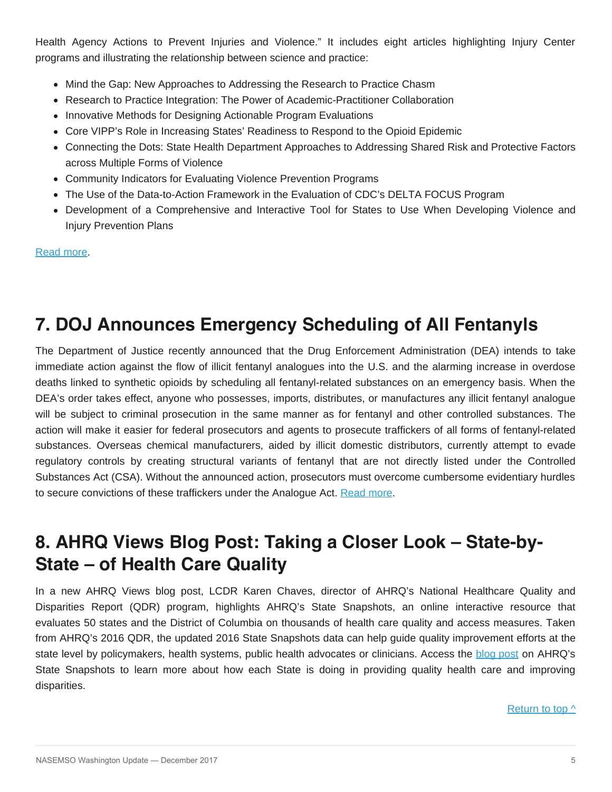Health Agency Actions to Prevent Injuries and Violence." It includes eight articles highlighting Injury Center programs and illustrating the relationship between science and practice:

- Mind the Gap: New Approaches to Addressing the Research to Practice Chasm
- Research to Practice Integration: The Power of Academic-Practitioner Collaboration
- Innovative Methods for Designing Actionable Program Evaluations
- Core VIPP's Role in Increasing States' Readiness to Respond to the Opioid Epidemic
- Connecting the Dots: State Health Department Approaches to Addressing Shared Risk and Protective Factors across Multiple Forms of Violence
- Community Indicators for Evaluating Violence Prevention Programs
- The Use of the Data-to-Action Framework in the Evaluation of CDC's DELTA FOCUS Program
- Development of a Comprehensive and Interactive Tool for States to Use When Developing Violence and Injury Prevention Plans

[Read more.](http://journals.lww.com/jphmp/toc/2018/01001)

# **7. DOJ Announces Emergency Scheduling of All Fentanyls**

The Department of Justice recently announced that the Drug Enforcement Administration (DEA) intends to take immediate action against the flow of illicit fentanyl analogues into the U.S. and the alarming increase in overdose deaths linked to synthetic opioids by scheduling all fentanyl-related substances on an emergency basis. When the DEA's order takes effect, anyone who possesses, imports, distributes, or manufactures any illicit fentanyl analogue will be subject to criminal prosecution in the same manner as for fentanyl and other controlled substances. The action will make it easier for federal prosecutors and agents to prosecute traffickers of all forms of fentanyl-related substances. Overseas chemical manufacturers, aided by illicit domestic distributors, currently attempt to evade regulatory controls by creating structural variants of fentanyl that are not directly listed under the Controlled Substances Act (CSA). Without the announced action, prosecutors must overcome cumbersome evidentiary hurdles to secure convictions of these traffickers under the Analogue Act. [Read more](https://www.justice.gov/opa/video/attorney-general-sessions-acting-dea-administrator-patterson-announce-new-tools-fight).

# **8. AHRQ Views Blog Post: Taking a Closer Look – State-by-State – of Health Care Quality**

In a new AHRQ Views blog post, LCDR Karen Chaves, director of AHRQ's National Healthcare Quality and Disparities Report (QDR) program, highlights AHRQ's State Snapshots, an online interactive resource that evaluates 50 states and the District of Columbia on thousands of health care quality and access measures. Taken from AHRQ's 2016 QDR, the updated 2016 State Snapshots data can help guide quality improvement efforts at the state level by policymakers, health systems, public health advocates or clinicians. Access the [blog post](https://www.ahrq.gov/news/blog/ahrqviews/taking-a-closer-look.html) on AHRQ's State Snapshots to learn more about how each State is doing in providing quality health care and improving disparities.

[Return to top ^](#page-0-0)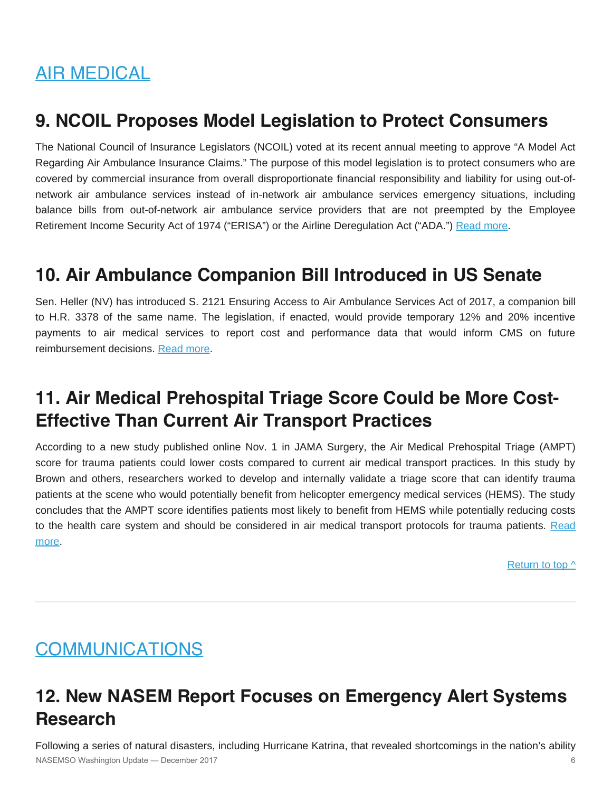# <span id="page-5-0"></span>AIR MEDICAL

## **9. NCOIL Proposes Model Legislation to Protect Consumers**

The National Council of Insurance Legislators (NCOIL) voted at its recent annual meeting to approve "A Model Act Regarding Air Ambulance Insurance Claims." The purpose of this model legislation is to protect consumers who are covered by commercial insurance from overall disproportionate financial responsibility and liability for using out-ofnetwork air ambulance services instead of in-network air ambulance services emergency situations, including balance bills from out-of-network air ambulance service providers that are not preempted by the Employee Retirement Income Security Act of 1974 ("ERISA") or the Airline Deregulation Act ("ADA.") [Read more](http://ncoil.org/wp-content/uploads/2017/10/air-ambulance-model25252c-revised-10-12-17422.pdf).

## **10. Air Ambulance Companion Bill Introduced in US Senate**

Sen. Heller (NV) has introduced S. 2121 Ensuring Access to Air Ambulance Services Act of 2017, a companion bill to H.R. 3378 of the same name. The legislation, if enacted, would provide temporary 12% and 20% incentive payments to air medical services to report cost and performance data that would inform CMS on future reimbursement decisions. [Read more.](https://www.congress.gov/bill/115th-congress/senate-bill/2121)

## **11. Air Medical Prehospital Triage Score Could be More Cost-Effective Than Current Air Transport Practices**

According to a new study published online Nov. 1 in JAMA Surgery, the Air Medical Prehospital Triage (AMPT) score for trauma patients could lower costs compared to current air medical transport practices. In this study by Brown and others, researchers worked to develop and internally validate a triage score that can identify trauma patients at the scene who would potentially benefit from helicopter emergency medical services (HEMS). The study concludes that the AMPT score identifies patients most likely to benefit from HEMS while potentially reducing costs to the health care system and should be considered in air medical transport protocols for trauma patients. [Read](https://jamanetwork.com/journals/jamasurgery/article-abstract/2659626?redirect=true) [more](https://jamanetwork.com/journals/jamasurgery/article-abstract/2659626?redirect=true).

Return to top  $\wedge$ 

## <span id="page-5-1"></span>COMMUNICATIONS

# **12. New NASEM Report Focuses on Emergency Alert Systems Research**

Following a series of natural disasters, including Hurricane Katrina, that revealed shortcomings in the nation's ability NASEMSO Washington Update — December 2017 6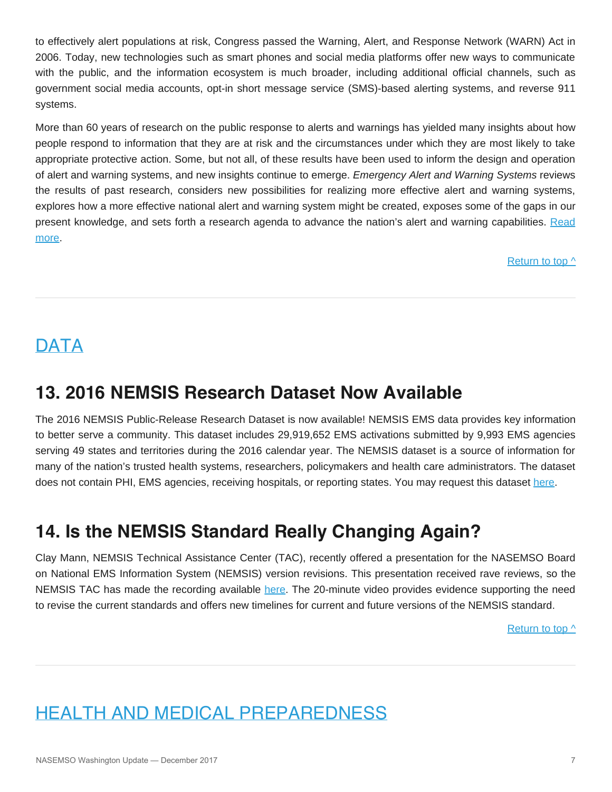to effectively alert populations at risk, Congress passed the Warning, Alert, and Response Network (WARN) Act in 2006. Today, new technologies such as smart phones and social media platforms offer new ways to communicate with the public, and the information ecosystem is much broader, including additional official channels, such as government social media accounts, opt-in short message service (SMS)-based alerting systems, and reverse 911 systems.

More than 60 years of research on the public response to alerts and warnings has yielded many insights about how people respond to information that they are at risk and the circumstances under which they are most likely to take appropriate protective action. Some, but not all, of these results have been used to inform the design and operation of alert and warning systems, and new insights continue to emerge. *Emergency Alert and Warning Systems* reviews the results of past research, considers new possibilities for realizing more effective alert and warning systems, explores how a more effective national alert and warning system might be created, exposes some of the gaps in our present knowledge, and sets forth a research agenda to advance the nation's alert and warning capabilities. [Read](https://www.nap.edu/catalog/24935/emergency-alert-and-warning-systems-current-knowledge-and-future-research) [more](https://www.nap.edu/catalog/24935/emergency-alert-and-warning-systems-current-knowledge-and-future-research).

[Return to top ^](#page-0-0)

# <span id="page-6-0"></span>**DATA**

# **13. 2016 NEMSIS Research Dataset Now Available**

The 2016 NEMSIS Public-Release Research Dataset is now available! NEMSIS EMS data provides key information to better serve a community. This dataset includes 29,919,652 EMS activations submitted by 9,993 EMS agencies serving 49 states and territories during the 2016 calendar year. The NEMSIS dataset is a source of information for many of the nation's trusted health systems, researchers, policymakers and health care administrators. The dataset does not contain PHI, EMS agencies, receiving hospitals, or reporting states. You may request this dataset here

# **14. Is the NEMSIS Standard Really Changing Again?**

Clay Mann, NEMSIS Technical Assistance Center (TAC), recently offered a presentation for the NASEMSO Board on National EMS Information System (NEMSIS) version revisions. This presentation received rave reviews, so the NEMSIS TAC has made the recording available [here](https://www.youtube.com/watch?v=0x79l12-Ox4&feature=youtu.be). The 20-minute video provides evidence supporting the need to revise the current standards and offers new timelines for current and future versions of the NEMSIS standard.

[Return to top ^](#page-0-0)

# <span id="page-6-1"></span>HEALTH AND MEDICAL PREPAREDNESS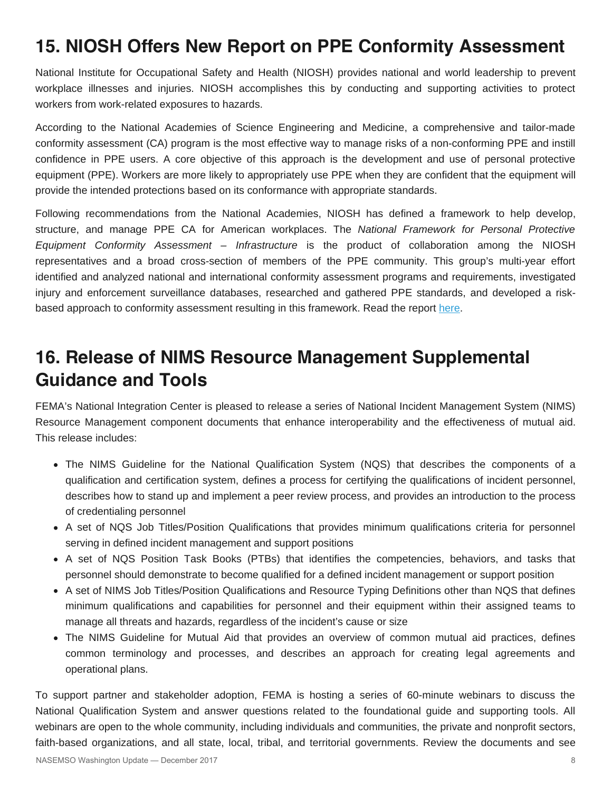# **15. NIOSH Offers New Report on PPE Conformity Assessment**

National Institute for Occupational Safety and Health (NIOSH) provides national and world leadership to prevent workplace illnesses and injuries. NIOSH accomplishes this by conducting and supporting activities to protect workers from work-related exposures to hazards.

According to the National Academies of Science Engineering and Medicine, a comprehensive and tailor-made conformity assessment (CA) program is the most effective way to manage risks of a non-conforming PPE and instill confidence in PPE users. A core objective of this approach is the development and use of personal protective equipment (PPE). Workers are more likely to appropriately use PPE when they are confident that the equipment will provide the intended protections based on its conformance with appropriate standards.

Following recommendations from the National Academies, NIOSH has defined a framework to help develop, structure, and manage PPE CA for American workplaces. The *National Framework for Personal Protective Equipment Conformity Assessment – Infrastructure* is the product of collaboration among the NIOSH representatives and a broad cross-section of members of the PPE community. This group's multi-year effort identified and analyzed national and international conformity assessment programs and requirements, investigated injury and enforcement surveillance databases, researched and gathered PPE standards, and developed a riskbased approach to conformity assessment resulting in this framework. Read the report [here](https://www.cdc.gov/niosh/docs/2018-102/pdfs/2018-102.pdf).

## **16. Release of NIMS Resource Management Supplemental Guidance and Tools**

FEMA's National Integration Center is pleased to release a series of National Incident Management System (NIMS) Resource Management component documents that enhance interoperability and the effectiveness of mutual aid. This release includes:

- The NIMS Guideline for the National Qualification System (NQS) that describes the components of a qualification and certification system, defines a process for certifying the qualifications of incident personnel, describes how to stand up and implement a peer review process, and provides an introduction to the process of credentialing personnel
- A set of NQS Job Titles/Position Qualifications that provides minimum qualifications criteria for personnel serving in defined incident management and support positions
- A set of NQS Position Task Books (PTBs) that identifies the competencies, behaviors, and tasks that personnel should demonstrate to become qualified for a defined incident management or support position
- A set of NIMS Job Titles/Position Qualifications and Resource Typing Definitions other than NQS that defines minimum qualifications and capabilities for personnel and their equipment within their assigned teams to manage all threats and hazards, regardless of the incident's cause or size
- The NIMS Guideline for Mutual Aid that provides an overview of common mutual aid practices, defines common terminology and processes, and describes an approach for creating legal agreements and operational plans.

To support partner and stakeholder adoption, FEMA is hosting a series of 60-minute webinars to discuss the National Qualification System and answer questions related to the foundational guide and supporting tools. All webinars are open to the whole community, including individuals and communities, the private and nonprofit sectors, faith-based organizations, and all state, local, tribal, and territorial governments. Review the documents and see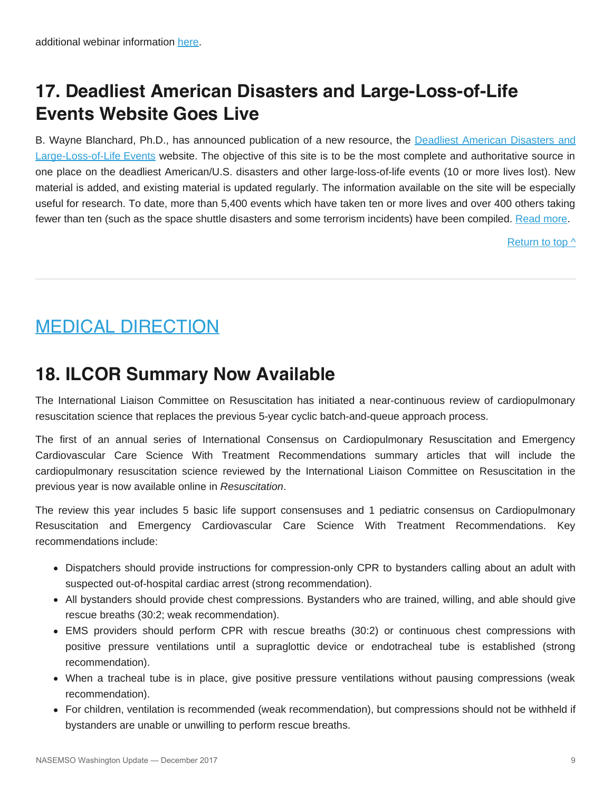# **17. Deadliest American Disasters and Large-Loss-of-Life Events Website Goes Live**

B. Wayne Blanchard, Ph.D., has announced publication of a new resource, the [Deadliest American Disasters and](http://www.usdeadlyevents.com/) [Large-Loss-of-Life Events](http://www.usdeadlyevents.com/) website. The objective of this site is to be the most complete and authoritative source in one place on the deadliest American/U.S. disasters and other large-loss-of-life events (10 or more lives lost). New material is added, and existing material is updated regularly. The information available on the site will be especially useful for research. To date, more than 5,400 events which have taken ten or more lives and over 400 others taking fewer than ten (such as the space shuttle disasters and some terrorism incidents) have been compiled. [Read more.](http://www.usdeadlyevents.com/)

[Return to top ^](#page-0-0)

# <span id="page-8-0"></span>MEDICAL DIRECTION

## **18. ILCOR Summary Now Available**

The International Liaison Committee on Resuscitation has initiated a near-continuous review of cardiopulmonary resuscitation science that replaces the previous 5-year cyclic batch-and-queue approach process.

The first of an annual series of International Consensus on Cardiopulmonary Resuscitation and Emergency Cardiovascular Care Science With Treatment Recommendations summary articles that will include the cardiopulmonary resuscitation science reviewed by the International Liaison Committee on Resuscitation in the previous year is now available online in *Resuscitation*.

The review this year includes 5 basic life support consensuses and 1 pediatric consensus on Cardiopulmonary Resuscitation and Emergency Cardiovascular Care Science With Treatment Recommendations. Key recommendations include:

- Dispatchers should provide instructions for compression-only CPR to bystanders calling about an adult with suspected out-of-hospital cardiac arrest (strong recommendation).
- All bystanders should provide chest compressions. Bystanders who are trained, willing, and able should give rescue breaths (30:2; weak recommendation).
- EMS providers should perform CPR with rescue breaths (30:2) or continuous chest compressions with positive pressure ventilations until a supraglottic device or endotracheal tube is established (strong recommendation).
- When a tracheal tube is in place, give positive pressure ventilations without pausing compressions (weak recommendation).
- For children, ventilation is recommended (weak recommendation), but compressions should not be withheld if bystanders are unable or unwilling to perform rescue breaths.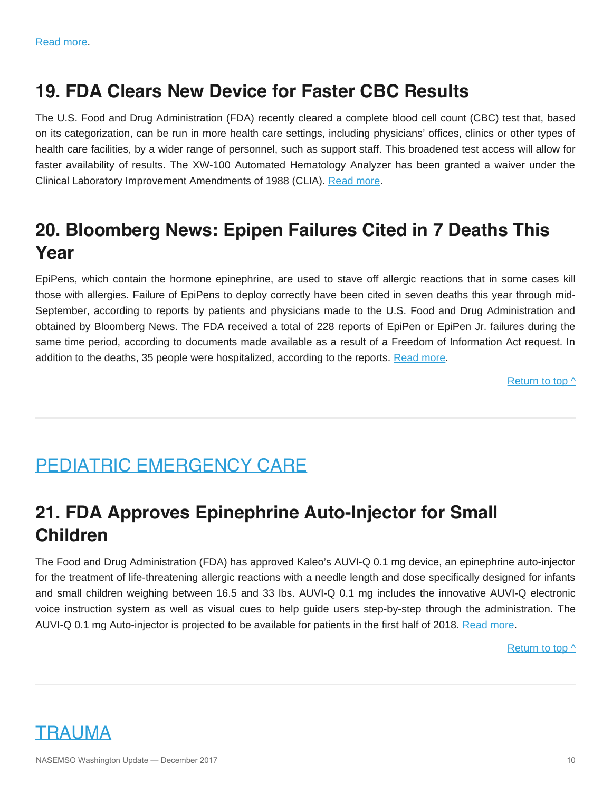## **19. FDA Clears New Device for Faster CBC Results**

The U.S. Food and Drug Administration (FDA) recently cleared a complete blood cell count (CBC) test that, based on its categorization, can be run in more health care settings, including physicians' offices, clinics or other types of health care facilities, by a wider range of personnel, such as support staff. This broadened test access will allow for faster availability of results. The XW-100 Automated Hematology Analyzer has been granted a waiver under the Clinical Laboratory Improvement Amendments of 1988 (CLIA). [Read more](https://www.fda.gov/NewsEvents/Newsroom/PressAnnouncements/ucm583997.htm).

# **20. Bloomberg News: Epipen Failures Cited in 7 Deaths This Year**

EpiPens, which contain the hormone epinephrine, are used to stave off allergic reactions that in some cases kill those with allergies. Failure of EpiPens to deploy correctly have been cited in seven deaths this year through mid-September, according to reports by patients and physicians made to the U.S. Food and Drug Administration and obtained by Bloomberg News. The FDA received a total of 228 reports of EpiPen or EpiPen Jr. failures during the same time period, according to documents made available as a result of a Freedom of Information Act request. In addition to the deaths, 35 people were hospitalized, according to the reports. [Read more](https://www.bloomberg.com/news/articles/2017-11-02/epipen-failures-cited-in-seven-deaths-this-year-fda-files-show).

[Return to top ^](#page-0-0)

# <span id="page-9-0"></span>PEDIATRIC EMERGENCY CARE

# **21. FDA Approves Epinephrine Auto-Injector for Small Children**

<span id="page-9-1"></span>The Food and Drug Administration (FDA) has approved Kaleo's AUVI-Q 0.1 mg device, an epinephrine auto-injector for the treatment of life-threatening allergic reactions with a needle length and dose specifically designed for infants and small children weighing between 16.5 and 33 lbs. AUVI-Q 0.1 mg includes the innovative AUVI-Q electronic voice instruction system as well as visual cues to help guide users step-by-step through the administration. The AUVI-Q 0.1 mg Auto-injector is projected to be available for patients in the first half of 2018. [Read more](https://www.accessdata.fda.gov/drugsatfda_docs/label/2017/201739s008s009lbl.pdf).

[Return to top ^](#page-0-0)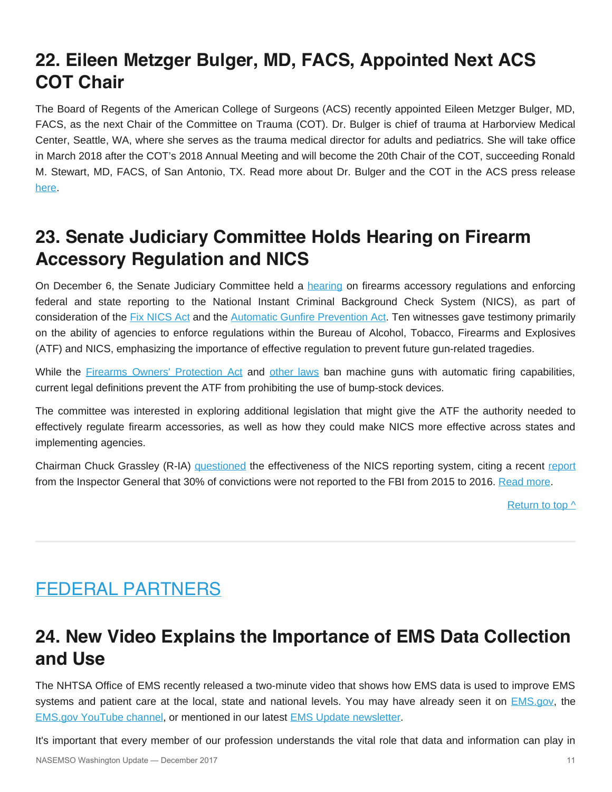# **22. Eileen Metzger Bulger, MD, FACS, Appointed Next ACS COT Chair**

The Board of Regents of the American College of Surgeons (ACS) recently appointed Eileen Metzger Bulger, MD, FACS, as the next Chair of the Committee on Trauma (COT). Dr. Bulger is chief of trauma at Harborview Medical Center, Seattle, WA, where she serves as the trauma medical director for adults and pediatrics. She will take office in March 2018 after the COT's 2018 Annual Meeting and will become the 20th Chair of the COT, succeeding Ronald M. Stewart, MD, FACS, of San Antonio, TX. Read more about Dr. Bulger and the COT in the ACS press release [here.](https://www.facs.org/media/press-releases/2017/bulger120517)

## **23. Senate Judiciary Committee Holds Hearing on Firearm Accessory Regulation and NICS**

On December 6, the Senate Judiciary Committee held a [hearing](https://www.judiciary.senate.gov/meetings/firearm-accessory-regulation-and-enforcing-federal-and-state-reporting-to-the-national-instant-criminal-background-check-system-nics) on firearms accessory regulations and enforcing federal and state reporting to the National Instant Criminal Background Check System (NICS), as part of consideration of the [Fix NICS Act](https://www.congress.gov/bill/115th-congress/senate-bill/2135/text) and the [Automatic Gunfire Prevention Act](https://www.congress.gov/bill/115th-congress/senate-bill/1916/text). Ten witnesses gave testimony primarily on the ability of agencies to enforce regulations within the Bureau of Alcohol, Tobacco, Firearms and Explosives (ATF) and NICS, emphasizing the importance of effective regulation to prevent future gun-related tragedies.

While the **[Firearms Owners' Protection Act](https://www.gpo.gov/fdsys/pkg/STATUTE-100/pdf/STATUTE-100-Pg449.pdf) and [other laws](https://www.atf.gov/rules-and-regulations/laws-alcohol-tobacco-firearms-and-explosives)** ban machine guns with automatic firing capabilities, current legal definitions prevent the ATF from prohibiting the use of bump-stock devices.

The committee was interested in exploring additional legislation that might give the ATF the authority needed to effectively regulate firearm accessories, as well as how they could make NICS more effective across states and implementing agencies.

Chairman Chuck Grassley (R-IA) [questioned](https://www.judiciary.senate.gov/imo/media/doc/12-06-17%20Grassley%20Statement.pdf) the effectiveness of the NICS reporting system, citing a recent [report](https://media.defense.gov/2017/Dec/05/2001852278/-1/-1/1/DODIG-2018-035.PDF) from the Inspector General that 30% of convictions were not reported to the FBI from 2015 to 2016. [Read more](https://www.judiciary.senate.gov/meetings/firearm-accessory-regulation-and-enforcing-federal-and-state-reporting-to-the-national-instant-criminal-background-check-system-nics).

[Return to top ^](#page-0-0)

# <span id="page-10-0"></span>FEDERAL PARTNERS

## **24. New Video Explains the Importance of EMS Data Collection and Use**

The NHTSA Office of EMS recently released a two-minute video that shows how EMS data is used to improve EMS systems and patient care at the local, state and national levels. You may have already seen it on [EMS.gov](https://www.ems.gov/), the [EMS.gov YouTube channel,](https://www.youtube.com/channel/UCYBFrepuFH0ontCCYzVx5zA) or mentioned in our latest [EMS Update newsletter.](https://www.ems.gov/ems-update.html)

It's important that every member of our profession understands the vital role that data and information can play in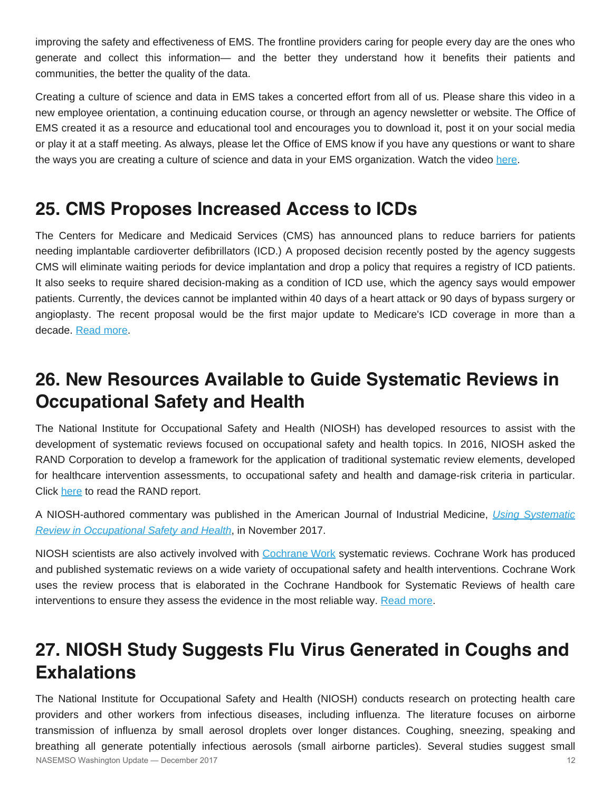improving the safety and effectiveness of EMS. The frontline providers caring for people every day are the ones who generate and collect this information— and the better they understand how it benefits their patients and communities, the better the quality of the data.

Creating a culture of science and data in EMS takes a concerted effort from all of us. Please share this video in a new employee orientation, a continuing education course, or through an agency newsletter or website. The Office of EMS created it as a resource and educational tool and encourages you to download it, post it on your social media or play it at a staff meeting. As always, please let the Office of EMS know if you have any questions or want to share the ways you are creating a culture of science and data in your EMS organization. Watch the video [here](https://www.youtube.com/watch?v=_BEeYqgM3D8).

## **25. CMS Proposes Increased Access to ICDs**

The Centers for Medicare and Medicaid Services (CMS) has announced plans to reduce barriers for patients needing implantable cardioverter defibrillators (ICD.) A proposed decision recently posted by the agency suggests CMS will eliminate waiting periods for device implantation and drop a policy that requires a registry of ICD patients. It also seeks to require shared decision-making as a condition of ICD use, which the agency says would empower patients. Currently, the devices cannot be implanted within 40 days of a heart attack or 90 days of bypass surgery or angioplasty. The recent proposal would be the first major update to Medicare's ICD coverage in more than a decade. [Read more](https://www.cms.gov/medicare-coverage-database/details/nca-proposed-decision-memo.aspx?NCAId=288).

# **26. New Resources Available to Guide Systematic Reviews in Occupational Safety and Health**

The National Institute for Occupational Safety and Health (NIOSH) has developed resources to assist with the development of systematic reviews focused on occupational safety and health topics. In 2016, NIOSH asked the RAND Corporation to develop a framework for the application of traditional systematic review elements, developed for healthcare intervention assessments, to occupational safety and health and damage-risk criteria in particular. Click [here](https://www.rand.org/pubs/research_reports/RR1463.html) to read the RAND report.

A NIOSH-authored commentary was published in the American Journal of Industrial Medicine, *[Using Systematic](http://dx.doi.org/10.1002/ajim.22771) [Review in Occupational Safety and Health](http://dx.doi.org/10.1002/ajim.22771)*, in November 2017.

NIOSH scientists are also actively involved with [Cochrane Work](https://academic.oup.com/occmed/article-abstract/67/7/504/4430930) systematic reviews. Cochrane Work has produced and published systematic reviews on a wide variety of occupational safety and health interventions. Cochrane Work uses the review process that is elaborated in the Cochrane Handbook for Systematic Reviews of health care interventions to ensure they assess the evidence in the most reliable way. [Read more.](https://blogs.cdc.gov/niosh-science-blog/2017/11/28/systematic-review/)

# **27. NIOSH Study Suggests Flu Virus Generated in Coughs and Exhalations**

The National Institute for Occupational Safety and Health (NIOSH) conducts research on protecting health care providers and other workers from infectious diseases, including influenza. The literature focuses on airborne transmission of influenza by small aerosol droplets over longer distances. Coughing, sneezing, speaking and breathing all generate potentially infectious aerosols (small airborne particles). Several studies suggest small NASEMSO Washington Update — December 2017 12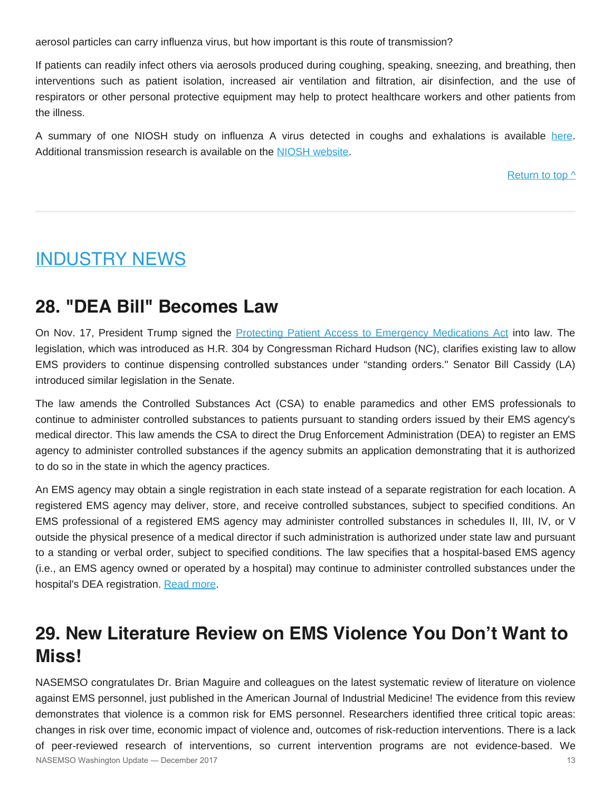aerosol particles can carry influenza virus, but how important is this route of transmission?

If patients can readily infect others via aerosols produced during coughing, speaking, sneezing, and breathing, then interventions such as patient isolation, increased air ventilation and filtration, air disinfection, and the use of respirators or other personal protective equipment may help to protect healthcare workers and other patients from the illness.

A summary of one NIOSH study on influenza A virus detected in coughs and exhalations is available [here](https://blogs.cdc.gov/niosh-science-blog/2017/11/09/flu-coughs/). Additional transmission research is available on the [NIOSH website](https://www.cdc.gov/niosh/topics/flu/transmission.html).

[Return to top ^](#page-0-0)

## <span id="page-12-0"></span>INDUSTRY NEWS

## **28. "DEA Bill" Becomes Law**

On Nov. 17, President Trump signed the [Protecting Patient Access to Emergency Medications Act](https://www.congress.gov/bill/115th-congress/house-bill/304) into law. The legislation, which was introduced as H.R. 304 by Congressman Richard Hudson (NC), clarifies existing law to allow EMS providers to continue dispensing controlled substances under "standing orders." Senator Bill Cassidy (LA) introduced similar legislation in the Senate.

The law amends the Controlled Substances Act (CSA) to enable paramedics and other EMS professionals to continue to administer controlled substances to patients pursuant to standing orders issued by their EMS agency's medical director. This law amends the CSA to direct the Drug Enforcement Administration (DEA) to register an EMS agency to administer controlled substances if the agency submits an application demonstrating that it is authorized to do so in the state in which the agency practices.

An EMS agency may obtain a single registration in each state instead of a separate registration for each location. A registered EMS agency may deliver, store, and receive controlled substances, subject to specified conditions. An EMS professional of a registered EMS agency may administer controlled substances in schedules II, III, IV, or V outside the physical presence of a medical director if such administration is authorized under state law and pursuant to a standing or verbal order, subject to specified conditions. The law specifies that a hospital-based EMS agency (i.e., an EMS agency owned or operated by a hospital) may continue to administer controlled substances under the hospital's DEA registration. [Read more](https://www.congress.gov/bill/115th-congress/house-bill/304).

## **29. New Literature Review on EMS Violence You Don't Want to Miss!**

NASEMSO congratulates Dr. Brian Maguire and colleagues on the latest systematic review of literature on violence against EMS personnel, just published in the American Journal of Industrial Medicine! The evidence from this review demonstrates that violence is a common risk for EMS personnel. Researchers identified three critical topic areas: changes in risk over time, economic impact of violence and, outcomes of risk-reduction interventions. There is a lack of peer-reviewed research of interventions, so current intervention programs are not evidence-based. We NASEMSO Washington Update — December 2017 13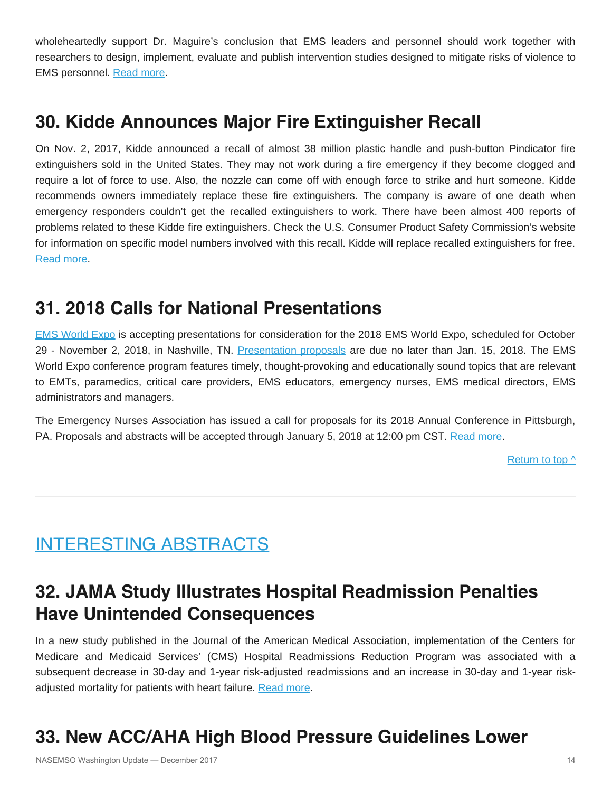wholeheartedly support Dr. Maguire's conclusion that EMS leaders and personnel should work together with researchers to design, implement, evaluate and publish intervention studies designed to mitigate risks of violence to EMS personnel. [Read more](https://doi.org/10.1002/ajim.22797).

## **30. Kidde Announces Major Fire Extinguisher Recall**

On Nov. 2, 2017, Kidde announced a recall of almost 38 million plastic handle and push-button Pindicator fire extinguishers sold in the United States. They may not work during a fire emergency if they become clogged and require a lot of force to use. Also, the nozzle can come off with enough force to strike and hurt someone. Kidde recommends owners immediately replace these fire extinguishers. The company is aware of one death when emergency responders couldn't get the recalled extinguishers to work. There have been almost 400 reports of problems related to these Kidde fire extinguishers. Check the U.S. Consumer Product Safety Commission's website for information on specific model numbers involved with this recall. Kidde will replace recalled extinguishers for free. [Read more.](https://www.cpsc.gov/Recalls/2018/Kidde-Recalls-Fire-Extinguishers-with-Plastic%20Handles-Due-to-Failure-to-Discharge-and-Nozzle-Detachment-One-Death-Reported)

## **31. 2018 Calls for National Presentations**

[EMS World Expo](http://www.emsworldexpo.com/) is accepting presentations for consideration for the 2018 EMS World Expo, scheduled for October 29 - November 2, 2018, in Nashville, TN. [Presentation proposals](https://www.conferenceabstracts.com/cfp2/login.asp?EventKey=JPFZPZEW) are due no later than Jan. 15, 2018. The EMS World Expo conference program features timely, thought-provoking and educationally sound topics that are relevant to EMTs, paramedics, critical care providers, EMS educators, emergency nurses, EMS medical directors, EMS administrators and managers.

The Emergency Nurses Association has issued a call for proposals for its 2018 Annual Conference in Pittsburgh, PA. Proposals and abstracts will be accepted through January 5, 2018 at 12:00 pm CST. [Read more](https://www.ena.org/events/emergency-nursing-2018-call-for-proposals).

Return to top  $\wedge$ 

# <span id="page-13-0"></span>INTERESTING ABSTRACTS

# **32. JAMA Study Illustrates Hospital Readmission Penalties Have Unintended Consequences**

In a new study published in the Journal of the American Medical Association, implementation of the Centers for Medicare and Medicaid Services' (CMS) Hospital Readmissions Reduction Program was associated with a subsequent decrease in 30-day and 1-year risk-adjusted readmissions and an increase in 30-day and 1-year risk-adjusted mortality for patients with heart failure. [Read more](https://jamanetwork.com/journals/jamacardiology/article-abstract/2663213).

# **33. New ACC/AHA High Blood Pressure Guidelines Lower**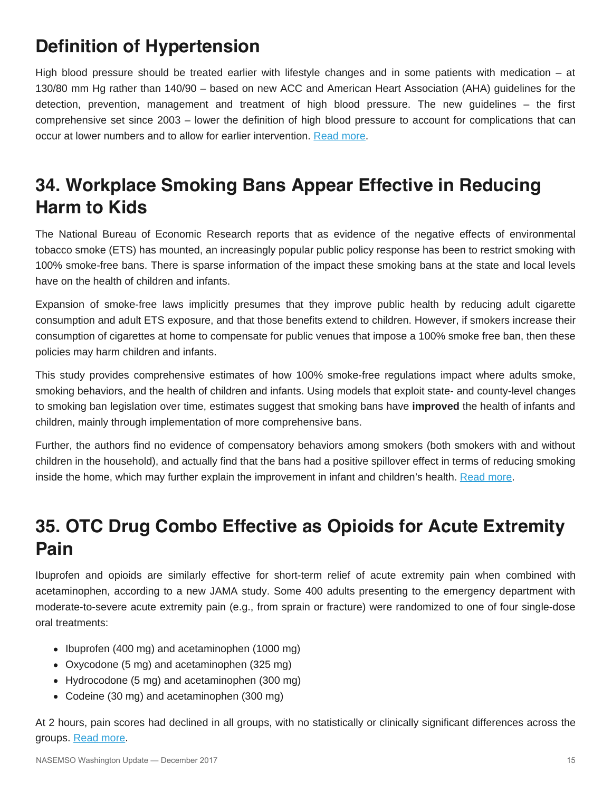# **Definition of Hypertension**

High blood pressure should be treated earlier with lifestyle changes and in some patients with medication – at 130/80 mm Hg rather than 140/90 – based on new ACC and American Heart Association (AHA) guidelines for the detection, prevention, management and treatment of high blood pressure. The new guidelines – the first comprehensive set since 2003 – lower the definition of high blood pressure to account for complications that can occur at lower numbers and to allow for earlier intervention. [Read more.](https://www.acc.org/latest-in-cardiology/articles/2017/11/08/11/47/mon-5pm-bp-guideline-aha-2017)

# **34. Workplace Smoking Bans Appear Effective in Reducing Harm to Kids**

The National Bureau of Economic Research reports that as evidence of the negative effects of environmental tobacco smoke (ETS) has mounted, an increasingly popular public policy response has been to restrict smoking with 100% smoke-free bans. There is sparse information of the impact these smoking bans at the state and local levels have on the health of children and infants.

Expansion of smoke-free laws implicitly presumes that they improve public health by reducing adult cigarette consumption and adult ETS exposure, and that those benefits extend to children. However, if smokers increase their consumption of cigarettes at home to compensate for public venues that impose a 100% smoke free ban, then these policies may harm children and infants.

This study provides comprehensive estimates of how 100% smoke-free regulations impact where adults smoke, smoking behaviors, and the health of children and infants. Using models that exploit state- and county-level changes to smoking ban legislation over time, estimates suggest that smoking bans have **improved** the health of infants and children, mainly through implementation of more comprehensive bans.

Further, the authors find no evidence of compensatory behaviors among smokers (both smokers with and without children in the household), and actually find that the bans had a positive spillover effect in terms of reducing smoking inside the home, which may further explain the improvement in infant and children's health. [Read more](http://www.nber.org/papers/w23995).

# **35. OTC Drug Combo Effective as Opioids for Acute Extremity Pain**

Ibuprofen and opioids are similarly effective for short-term relief of acute extremity pain when combined with acetaminophen, according to a new JAMA study. Some 400 adults presenting to the emergency department with moderate-to-severe acute extremity pain (e.g., from sprain or fracture) were randomized to one of four single-dose oral treatments:

- Ibuprofen (400 mg) and acetaminophen (1000 mg)
- Oxycodone (5 mg) and acetaminophen (325 mg)
- Hydrocodone (5 mg) and acetaminophen (300 mg)
- Codeine (30 mg) and acetaminophen (300 mg)

At 2 hours, pain scores had declined in all groups, with no statistically or clinically significant differences across the groups. [Read more](https://jamanetwork.com/journals/jama/article-abstract/2661581?redirect=true).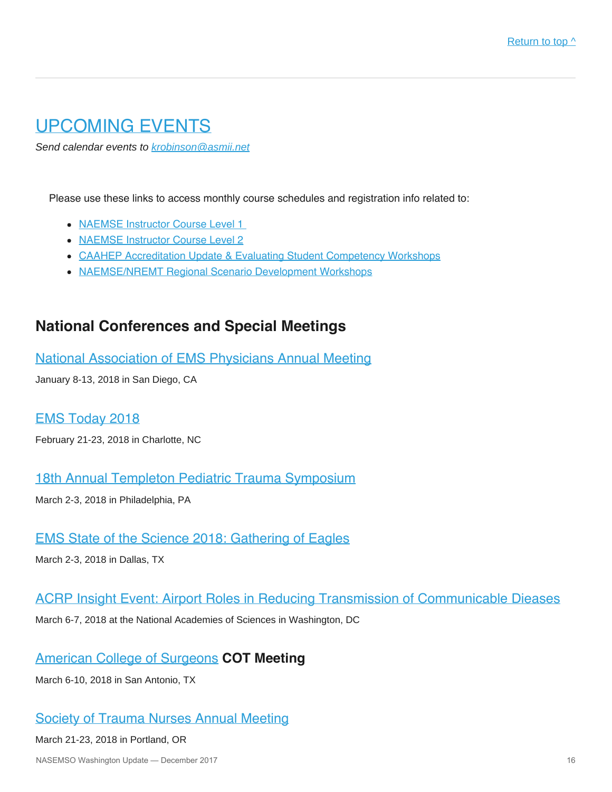## <span id="page-15-0"></span>UPCOMING EVENTS

*Send calendar events to [krobinson@asmii.net](mailto:krobinson@asmii.net?subject=Calendar%20Event%20for%20Washington%20Update)*

Please use these links to access monthly course schedules and registration info related to:

- [NAEMSE Instructor Course Level 1](http://naemse.org/?page=LVL1InstructorCourse)
- [NAEMSE Instructor Course Level 2](http://naemse.org/?page=LVL2InstructorCourse)
- [CAAHEP Accreditation Update & Evaluating Student Competency Workshops](http://naemse.org/?page=studentcomp)
- [NAEMSE/NREMT Regional Scenario Development Workshops](http://naemse.org/?page=nremt)

## **National Conferences and Special Meetings**

[National Association of EMS Physicians Annual Meeting](http://www.naemsp.org/Pages/Annual-Meeting.aspx)

January 8-13, 2018 in San Diego, CA

#### [EMS Today 2018](http://www.emstoday.com/index.html)

February 21-23, 2018 in Charlotte, NC

[18th Annual Templeton Pediatric Trauma Symposium](https://chop.cloud-cme.com/aph.aspx?P=5&EID=571)

March 2-3, 2018 in Philadelphia, PA

## [EMS State of the Science 2018: Gathering of Eagles](http://gatheringofeagles.us/2018/2018information.htm)

March 2-3, 2018 in Dallas, TX

### [ACRP Insight Event: Airport Roles in Reducing Transmission of Communicable Dieases](https://projects.erg.com/conferences/acrp/register-acrp-insightevent.asp)

March 6-7, 2018 at the National Academies of Sciences in Washington, DC

## [American College of Surgeons](https://www.facs.org/) **COT Meeting**

March 6-10, 2018 in San Antonio, TX

## [Society of Trauma Nurses Annual Meeting](http://www.traumanurses.org/education/traumacon-2018)

#### March 21-23, 2018 in Portland, OR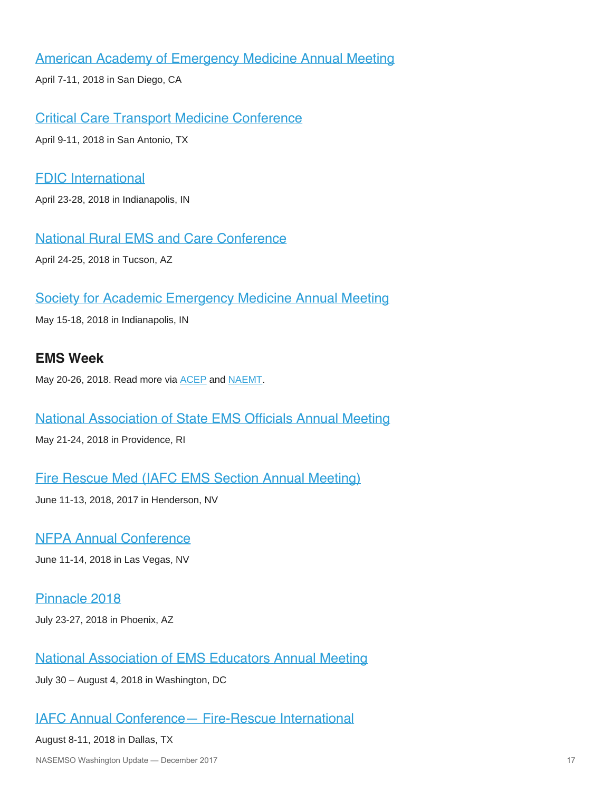## [American Academy of Emergency Medicine Annual Meeting](http://www.aaem.org/)

April 7-11, 2018 in San Diego, CA

[Critical Care Transport Medicine Conference](http://www.iafccp.org/event/id/177507/Critical-Care-Transport-Medicine-Conference-CCTMC.htm)

April 9-11, 2018 in San Antonio, TX

### [FDIC International](http://www.fdic.com/index.html)

April 23-28, 2018 in Indianapolis, IN

[National Rural EMS and Care Conference](https://nosorh.org/calendar-events/ems/)

April 24-25, 2018 in Tucson, AZ

### [Society for Academic Emergency Medicine Annual Meeting](http://saem.org/annual-meeting)

May 15-18, 2018 in Indianapolis, IN

## **EMS Week**

May 20-26, 2018. Read more via **ACEP** and **NAEMT**.

#### [National Association of State EMS Officials Annual Meeting](https://www.nasemso.org/Meetings/Annual/2018/index.asp)

May 21-24, 2018 in Providence, RI

### [Fire Rescue Med \(IAFC EMS Section Annual Meeting\)](https://www.iafc.org/events/event/2018/06/11/default-calendar/fire-rescue-med)

June 11-13, 2018, 2017 in Henderson, NV

## [NFPA Annual Conference](http://www.nfpa.org/Training-and-Events/By-type/Conferences/Conference)

June 11-14, 2018 in Las Vegas, NV

[Pinnacle 2018](http://pinnacle-ems.com/) July 23-27, 2018 in Phoenix, AZ

### [National Association of EMS Educators Annual Meeting](http://naemse.org/)

July 30 – August 4, 2018 in Washington, DC

### [IAFC Annual Conference— Fire-Rescue International](http://events.iafc.org/micrositeFRIconf/)

#### August 8-11, 2018 in Dallas, TX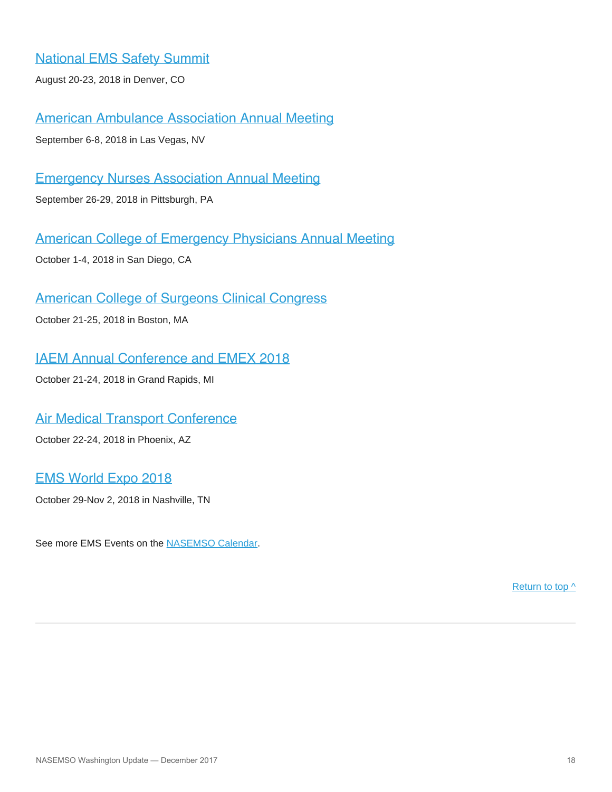[National EMS Safety Summit](http://nationalemssafetysummit.org/)

August 20-23, 2018 in Denver, CO

[American Ambulance Association Annual Meeting](https://annual.ambulance.org/)

September 6-8, 2018 in Las Vegas, NV

[Emergency Nurses Association Annual Meeting](https://www.ena.org/)

September 26-29, 2018 in Pittsburgh, PA

[American College of Emergency Physicians Annual Meeting](https://www.acep.org/#sm.0001ljjb3ldd8ekwvvf1hv00y97ap)

October 1-4, 2018 in San Diego, CA

### [American College of Surgeons Clinical Congress](https://www.facs.org/clincon2018)

October 21-25, 2018 in Boston, MA

[IAEM Annual Conference and EMEX 2018](http://www.iaem.com/)

October 21-24, 2018 in Grand Rapids, MI

### [Air Medical Transport Conference](http://aams.org/education-meetings/)

October 22-24, 2018 in Phoenix, AZ

### [EMS World Expo 2018](http://www.emsworldexpo.com/)

October 29-Nov 2, 2018 in Nashville, TN

See more EMS Events on the [NASEMSO Calendar](http://www.nasemso.org/Resources/Calendar/index.asp).

[Return to top ^](#page-0-0)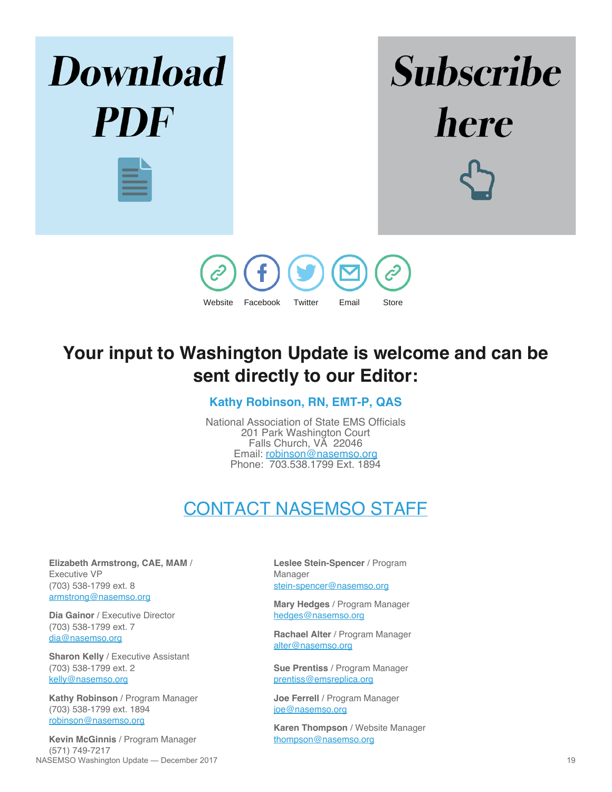

## **Your input to Washington Update is welcome and can be sent directly to our Editor:**

### **Kathy Robinson, RN, EMT-P, QAS**

National Association of State EMS Officials 201 Park Washington Court Falls Church, VA 22046 Email: [robinson@nasemso.org](mailto:robinson@nasemso.org) Phone: 703.538.1799 Ext. 1894

# CONTACT NASEMSO STAFF

<span id="page-18-0"></span>**Elizabeth Armstrong, CAE, MAM** / Executive VP (703) 538-1799 ext. 8 [armstrong@nasemso.org](mailto:armstrong@nasemso.org)

**Dia Gainor** / Executive Director (703) 538-1799 ext. 7 [dia@nasemso.org](mailto:dia@nasemso.org)

**Sharon Kelly** / Executive Assistant (703) 538-1799 ext. 2 [kelly@nasemso.org](mailto:kelly@nasemso.org)

**Kathy Robinson** / Program Manager (703) 538-1799 ext. 1894 [robinson@nasemso.org](mailto:robinson@nasemso.org)

**Kevin McGinnis** / Program Manager (571) 749-7217 NASEMSO Washington Update — December 2017 19

**Leslee Stein-Spencer** / Program Manager [stein-spencer@nasemso.org](mailto:stein-spencer@nasemso.org)

**Mary Hedges** / Program Manager [hedges@nasemso.org](mailto:hedges@nasemso.org)

**Rachael Alter** / Program Manager [alter@nasemso.org](mailto:alter@nasemso.org)

**Sue Prentiss** / Program Manager [prentiss@emsreplica.org](mailto:prentiss@emsreplica.org)

**Joe Ferrell** / Program Manager [joe@nasemso.org](mailto:joe@nasemso.org)

**Karen Thompson** / Website Manager [thompson@nasemso.org](mailto:thompson@nasemso.org)